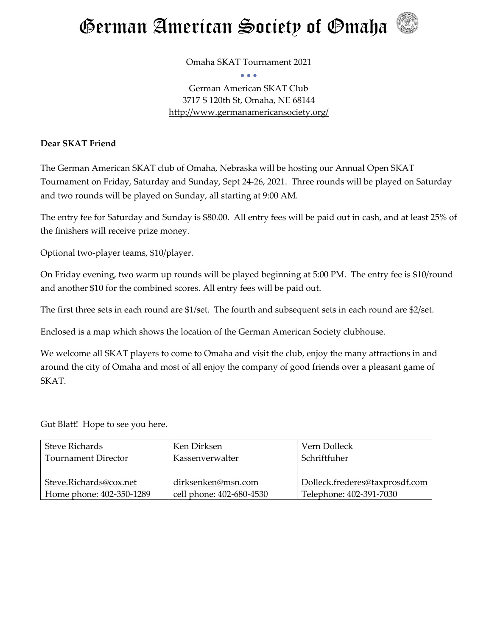

Omaha SKAT Tournament 2021 • • •

German American SKAT Club 3717 S 120th St, Omaha, NE 68144 <http://www.germanamericansociety.org/>

## **Dear SKAT Friend**

The German American SKAT club of Omaha, Nebraska will be hosting our Annual Open SKAT Tournament on Friday, Saturday and Sunday, Sept 24-26, 2021. Three rounds will be played on Saturday and two rounds will be played on Sunday, all starting at 9:00 AM.

The entry fee for Saturday and Sunday is \$80.00. All entry fees will be paid out in cash, and at least 25% of the finishers will receive prize money.

Optional two-player teams, \$10/player.

On Friday evening, two warm up rounds will be played beginning at 5:00 PM. The entry fee is \$10/round and another \$10 for the combined scores. All entry fees will be paid out.

The first three sets in each round are \$1/set. The fourth and subsequent sets in each round are \$2/set.

Enclosed is a map which shows the location of the German American Society clubhouse.

We welcome all SKAT players to come to Omaha and visit the club, enjoy the many attractions in and around the city of Omaha and most of all enjoy the company of good friends over a pleasant game of SKAT.

Gut Blatt! Hope to see you here.

| <b>Steve Richards</b>    | Ken Dirksen              | Vern Dolleck                   |
|--------------------------|--------------------------|--------------------------------|
| Tournament Director      | Kassenverwalter          | Schriftfuher                   |
|                          |                          |                                |
| Steve.Richards@cox.net   | dirksenken@msn.com       | Dolleck.frederes@taxprosdf.com |
| Home phone: 402-350-1289 | cell phone: 402-680-4530 | Telephone: 402-391-7030        |